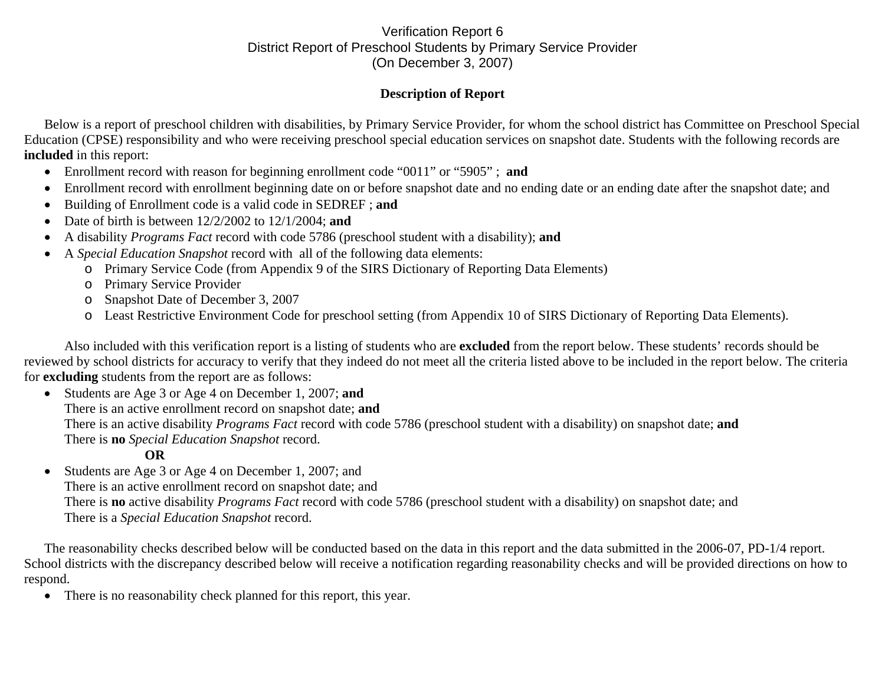## Verification Report 6 District Report of Preschool Students by Primary Service Provider (On December 3, 2007)

## **Description of Report**

Below is a report of preschool children with disabilities, by Primary Service Provider, for whom the school district has Committee on Preschool Special Education (CPSE) responsibility and who were receiving preschool special education services on snapshot date. Students with the following records are **included** in this report:

- Enrollment record with reason for beginning enrollment code "0011" or "5905" ; **and**
- •Enrollment record with enrollment beginning date on or before snapshot date and no ending date or an ending date after the snapshot date; and
- •Building of Enrollment code is a valid code in SEDREF ; **and**
- •Date of birth is between 12/2/2002 to 12/1/2004; **and**
- •A disability *Programs Fact* record with code 5786 (preschool student with a disability); **and**
- • A *Special Education Snapshot* record with all of the following data elements:
	- o Primary Service Code (from Appendix 9 of the SIRS Dictionary of Reporting Data Elements)
	- o Primary Service Provider
	- o Snapshot Date of December 3, 2007
	- o Least Restrictive Environment Code for preschool setting (from Appendix 10 of SIRS Dictionary of Reporting Data Elements).

Also included with this verification report is a listing of students who are **excluded** from the report below. These students' records should be reviewed by school districts for accuracy to verify that they indeed do not meet all the criteria listed above to be included in the report below. The criteria for **excluding** students from the report are as follows:

• Students are Age 3 or Age 4 on December 1, 2007; **and**  There is an active enrollment record on snapshot date; **and** There is an active disability *Programs Fact* record with code 5786 (preschool student with a disability) on snapshot date; **and** There is **no** *Special Education Snapshot* record.

## **OR**

 $\bullet$  Students are Age 3 or Age 4 on December 1, 2007; and There is an active enrollment record on snapshot date; and There is **no** active disability *Programs Fact* record with code 5786 (preschool student with a disability) on snapshot date; and There is a *Special Education Snapshot* record.

The reasonability checks described below will be conducted based on the data in this report and the data submitted in the 2006-07, PD-1/4 report. School districts with the discrepancy described below will receive a notification regarding reasonability checks and will be provided directions on how to respond.

 $\bullet$ There is no reasonability check planned for this report, this year.